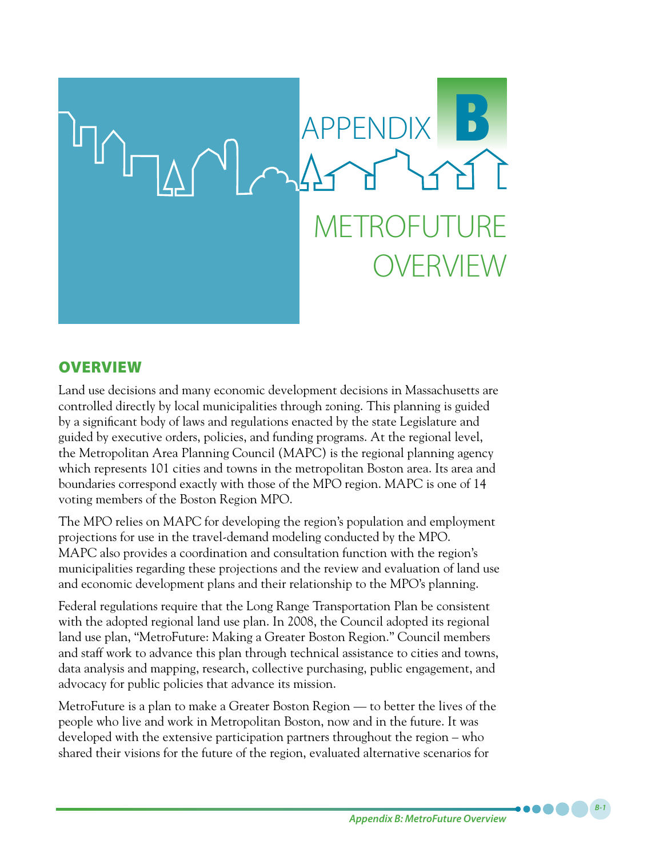

# **OVERVIEW**

Land use decisions and many economic development decisions in Massachusetts are controlled directly by local municipalities through zoning. This planning is guided by a significant body of laws and regulations enacted by the state Legislature and guided by executive orders, policies, and funding programs. At the regional level, the Metropolitan Area Planning Council (MAPC) is the regional planning agency which represents 101 cities and towns in the metropolitan Boston area. Its area and boundaries correspond exactly with those of the MPO region. MAPC is one of 14 voting members of the Boston Region MPO.

The MPO relies on MAPC for developing the region's population and employment projections for use in the travel-demand modeling conducted by the MPO. MAPC also provides a coordination and consultation function with the region's municipalities regarding these projections and the review and evaluation of land use and economic development plans and their relationship to the MPO's planning.

Federal regulations require that the Long Range Transportation Plan be consistent with the adopted regional land use plan. In 2008, the Council adopted its regional land use plan, "MetroFuture: Making a Greater Boston Region." Council members and staff work to advance this plan through technical assistance to cities and towns, data analysis and mapping, research, collective purchasing, public engagement, and advocacy for public policies that advance its mission.

MetroFuture is a plan to make a Greater Boston Region — to better the lives of the people who live and work in Metropolitan Boston, now and in the future. It was developed with the extensive participation partners throughout the region – who shared their visions for the future of the region, evaluated alternative scenarios for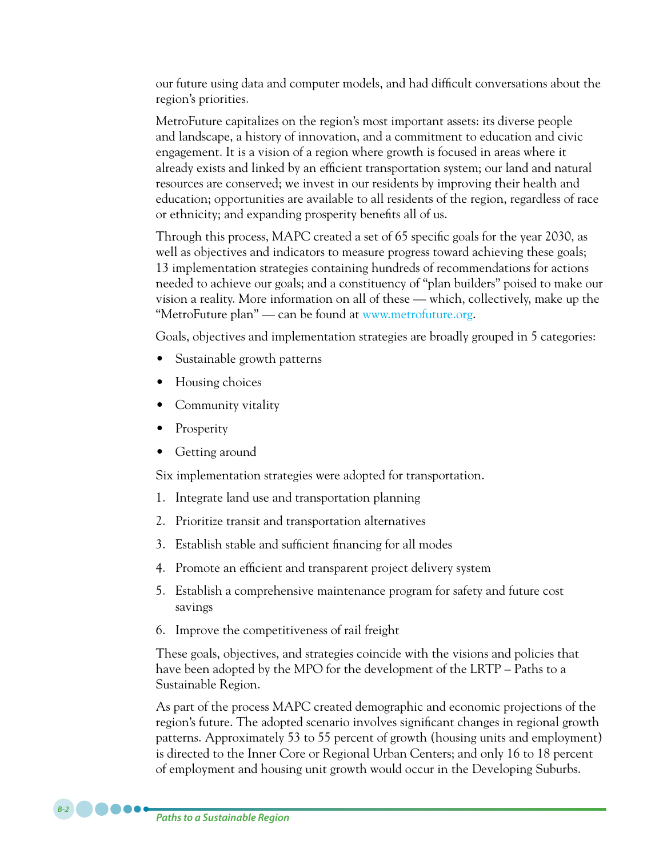our future using data and computer models, and had difficult conversations about the region's priorities.

MetroFuture capitalizes on the region's most important assets: its diverse people and landscape, a history of innovation, and a commitment to education and civic engagement. It is a vision of a region where growth is focused in areas where it already exists and linked by an efficient transportation system; our land and natural resources are conserved; we invest in our residents by improving their health and education; opportunities are available to all residents of the region, regardless of race or ethnicity; and expanding prosperity benefits all of us.

Through this process, MAPC created a set of 65 specific goals for the year 2030, as well as objectives and indicators to measure progress toward achieving these goals; 13 implementation strategies containing hundreds of recommendations for actions needed to achieve our goals; and a constituency of "plan builders" poised to make our vision a reality. More information on all of these — which, collectively, make up the "MetroFuture plan" — can be found at www.metrofuture.org.

Goals, objectives and implementation strategies are broadly grouped in 5 categories:

- Sustainable growth patterns
- Housing choices
- Community vitality
- Prosperity
- Getting around

Six implementation strategies were adopted for transportation.

- 1. Integrate land use and transportation planning
- 2. Prioritize transit and transportation alternatives
- 3. Establish stable and sufficient financing for all modes
- 4. Promote an efficient and transparent project delivery system
- 5. Establish a comprehensive maintenance program for safety and future cost savings
- 6. Improve the competitiveness of rail freight

These goals, objectives, and strategies coincide with the visions and policies that have been adopted by the MPO for the development of the LRTP – Paths to a Sustainable Region.

As part of the process MAPC created demographic and economic projections of the region's future. The adopted scenario involves significant changes in regional growth patterns. Approximately 53 to 55 percent of growth (housing units and employment) is directed to the Inner Core or Regional Urban Centers; and only 16 to 18 percent of employment and housing unit growth would occur in the Developing Suburbs.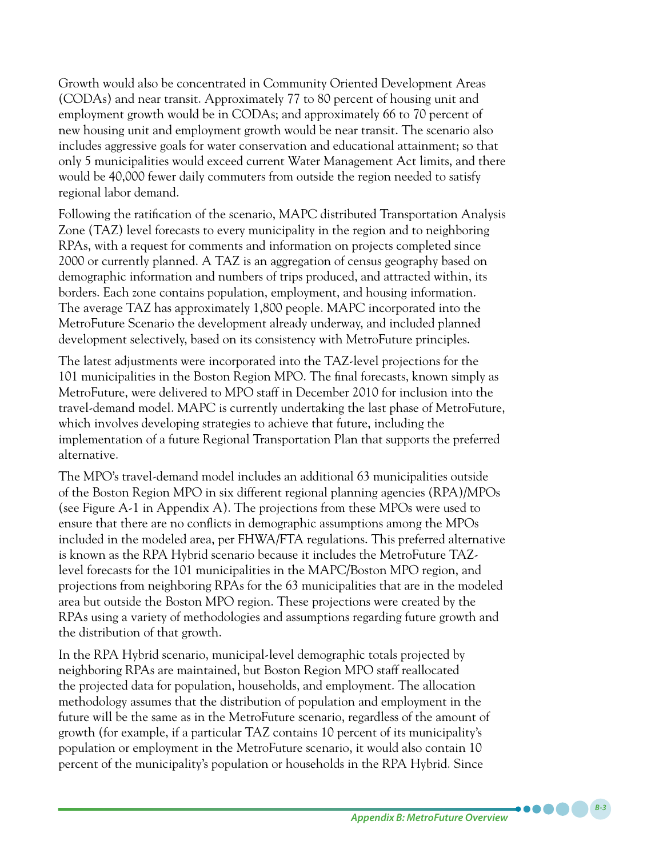Growth would also be concentrated in Community Oriented Development Areas (CODAs) and near transit. Approximately 77 to 80 percent of housing unit and employment growth would be in CODAs; and approximately 66 to 70 percent of new housing unit and employment growth would be near transit. The scenario also includes aggressive goals for water conservation and educational attainment; so that only 5 municipalities would exceed current Water Management Act limits, and there would be 40,000 fewer daily commuters from outside the region needed to satisfy regional labor demand.

Following the ratification of the scenario, MAPC distributed Transportation Analysis Zone (TAZ) level forecasts to every municipality in the region and to neighboring RPAs, with a request for comments and information on projects completed since 2000 or currently planned. A TAZ is an aggregation of census geography based on demographic information and numbers of trips produced, and attracted within, its borders. Each zone contains population, employment, and housing information. The average TAZ has approximately 1,800 people. MAPC incorporated into the MetroFuture Scenario the development already underway, and included planned development selectively, based on its consistency with MetroFuture principles.

The latest adjustments were incorporated into the TAZ-level projections for the 101 municipalities in the Boston Region MPO. The final forecasts, known simply as MetroFuture, were delivered to MPO staff in December 2010 for inclusion into the travel-demand model. MAPC is currently undertaking the last phase of MetroFuture, which involves developing strategies to achieve that future, including the implementation of a future Regional Transportation Plan that supports the preferred alternative.

The MPO's travel-demand model includes an additional 63 municipalities outside of the Boston Region MPO in six different regional planning agencies (RPA)/MPOs (see Figure A-1 in Appendix A). The projections from these MPOs were used to ensure that there are no conflicts in demographic assumptions among the MPOs included in the modeled area, per FHWA/FTA regulations. This preferred alternative is known as the RPA Hybrid scenario because it includes the MetroFuture TAZlevel forecasts for the 101 municipalities in the MAPC/Boston MPO region, and projections from neighboring RPAs for the 63 municipalities that are in the modeled area but outside the Boston MPO region. These projections were created by the RPAs using a variety of methodologies and assumptions regarding future growth and the distribution of that growth.

In the RPA Hybrid scenario, municipal-level demographic totals projected by neighboring RPAs are maintained, but Boston Region MPO staff reallocated the projected data for population, households, and employment. The allocation methodology assumes that the distribution of population and employment in the future will be the same as in the MetroFuture scenario, regardless of the amount of growth (for example, if a particular TAZ contains 10 percent of its municipality's population or employment in the MetroFuture scenario, it would also contain 10 percent of the municipality's population or households in the RPA Hybrid. Since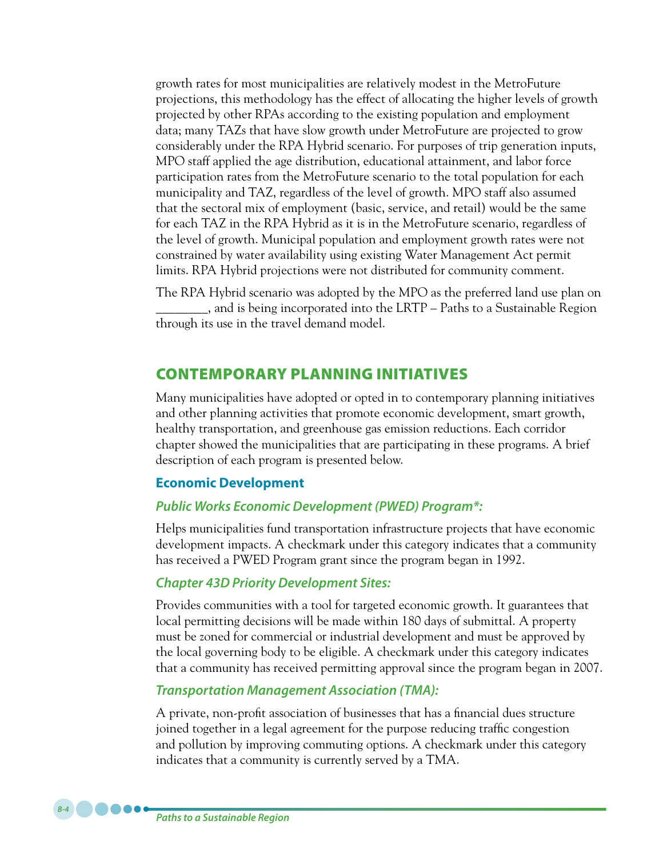growth rates for most municipalities are relatively modest in the MetroFuture projections, this methodology has the effect of allocating the higher levels of growth projected by other RPAs according to the existing population and employment data; many TAZs that have slow growth under MetroFuture are projected to grow considerably under the RPA Hybrid scenario. For purposes of trip generation inputs, MPO staff applied the age distribution, educational attainment, and labor force participation rates from the MetroFuture scenario to the total population for each municipality and TAZ, regardless of the level of growth. MPO staff also assumed that the sectoral mix of employment (basic, service, and retail) would be the same for each TAZ in the RPA Hybrid as it is in the MetroFuture scenario, regardless of the level of growth. Municipal population and employment growth rates were not constrained by water availability using existing Water Management Act permit limits. RPA Hybrid projections were not distributed for community comment.

The RPA Hybrid scenario was adopted by the MPO as the preferred land use plan on \_\_\_\_\_\_\_\_, and is being incorporated into the LRTP – Paths to a Sustainable Region through its use in the travel demand model.

# Contemporary Planning Initiatives

Many municipalities have adopted or opted in to contemporary planning initiatives and other planning activities that promote economic development, smart growth, healthy transportation, and greenhouse gas emission reductions. Each corridor chapter showed the municipalities that are participating in these programs. A brief description of each program is presented below.

## **Economic Development**

### *Public Works Economic Development (PWED) Program\*:*

Helps municipalities fund transportation infrastructure projects that have economic development impacts. A checkmark under this category indicates that a community has received a PWED Program grant since the program began in 1992.

## *Chapter 43D Priority Development Sites:*

Provides communities with a tool for targeted economic growth. It guarantees that local permitting decisions will be made within 180 days of submittal. A property must be zoned for commercial or industrial development and must be approved by the local governing body to be eligible. A checkmark under this category indicates that a community has received permitting approval since the program began in 2007.

## *Transportation Management Association (TMA):*

A private, non-profit association of businesses that has a financial dues structure joined together in a legal agreement for the purpose reducing traffic congestion and pollution by improving commuting options. A checkmark under this category indicates that a community is currently served by a TMA.

*Paths to a Sustainable Region*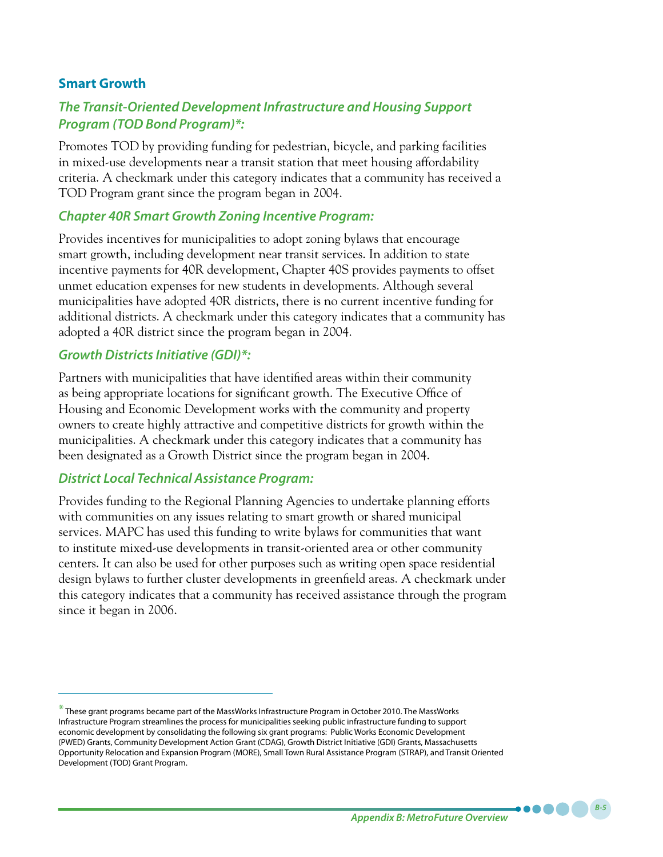## **Smart Growth**

# *The Transit-Oriented Development Infrastructure and Housing Support Program (TOD Bond Program)\*:*

Promotes TOD by providing funding for pedestrian, bicycle, and parking facilities in mixed-use developments near a transit station that meet housing affordability criteria. A checkmark under this category indicates that a community has received a TOD Program grant since the program began in 2004.

## *Chapter 40R Smart Growth Zoning Incentive Program:*

Provides incentives for municipalities to adopt zoning bylaws that encourage smart growth, including development near transit services. In addition to state incentive payments for 40R development, Chapter 40S provides payments to offset unmet education expenses for new students in developments. Although several municipalities have adopted 40R districts, there is no current incentive funding for additional districts. A checkmark under this category indicates that a community has adopted a 40R district since the program began in 2004.

## *Growth Districts Initiative (GDI)\*:*

Partners with municipalities that have identified areas within their community as being appropriate locations for significant growth. The Executive Office of Housing and Economic Development works with the community and property owners to create highly attractive and competitive districts for growth within the municipalities. A checkmark under this category indicates that a community has been designated as a Growth District since the program began in 2004.

## *District Local Technical Assistance Program:*

Provides funding to the Regional Planning Agencies to undertake planning efforts with communities on any issues relating to smart growth or shared municipal services. MAPC has used this funding to write bylaws for communities that want to institute mixed-use developments in transit-oriented area or other community centers. It can also be used for other purposes such as writing open space residential design bylaws to further cluster developments in greenfield areas. A checkmark under this category indicates that a community has received assistance through the program since it began in 2006.

*Appendix B: MetroFuture Overview*

<sup>\*</sup> These grant programs became part of the MassWorks Infrastructure Program in October 2010. The MassWorks Infrastructure Program streamlines the process for municipalities seeking public infrastructure funding to support economic development by consolidating the following six grant programs: Public Works Economic Development (PWED) Grants, Community Development Action Grant (CDAG), Growth District Initiative (GDI) Grants, Massachusetts Opportunity Relocation and Expansion Program (MORE), Small Town Rural Assistance Program (STRAP), and Transit Oriented Development (TOD) Grant Program.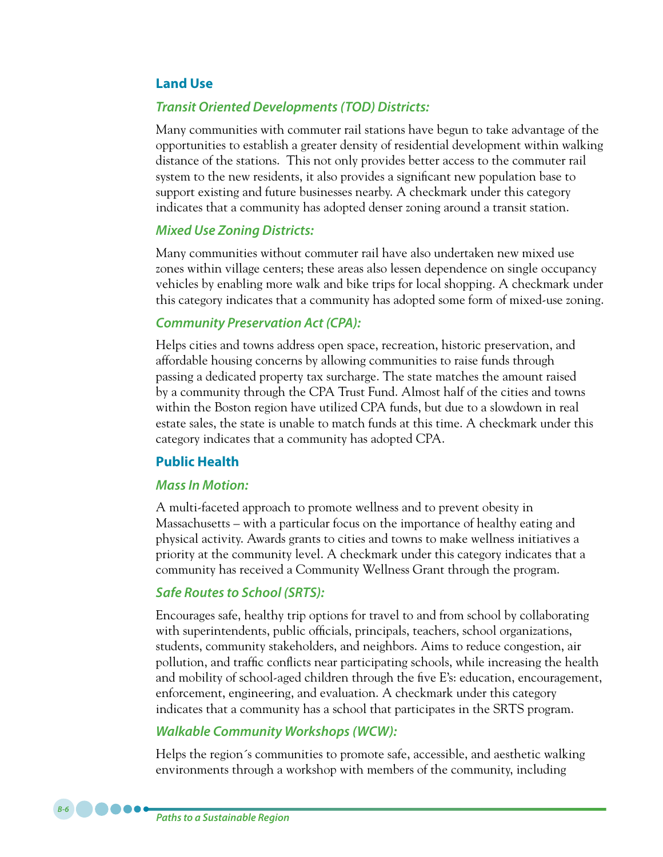### **Land Use**

### *Transit Oriented Developments (TOD) Districts:*

Many communities with commuter rail stations have begun to take advantage of the opportunities to establish a greater density of residential development within walking distance of the stations. This not only provides better access to the commuter rail system to the new residents, it also provides a significant new population base to support existing and future businesses nearby. A checkmark under this category indicates that a community has adopted denser zoning around a transit station.

#### *Mixed Use Zoning Districts:*

Many communities without commuter rail have also undertaken new mixed use zones within village centers; these areas also lessen dependence on single occupancy vehicles by enabling more walk and bike trips for local shopping. A checkmark under this category indicates that a community has adopted some form of mixed-use zoning.

### *Community Preservation Act (CPA):*

Helps cities and towns address open space, recreation, historic preservation, and affordable housing concerns by allowing communities to raise funds through passing a dedicated property tax surcharge. The state matches the amount raised by a community through the CPA Trust Fund. Almost half of the cities and towns within the Boston region have utilized CPA funds, but due to a slowdown in real estate sales, the state is unable to match funds at this time. A checkmark under this category indicates that a community has adopted CPA.

#### **Public Health**

### *Mass In Motion:*

A multi-faceted approach to promote wellness and to prevent obesity in Massachusetts – with a particular focus on the importance of healthy eating and physical activity. Awards grants to cities and towns to make wellness initiatives a priority at the community level. A checkmark under this category indicates that a community has received a Community Wellness Grant through the program.

#### *Safe Routes to School (SRTS):*

Encourages safe, healthy trip options for travel to and from school by collaborating with superintendents, public officials, principals, teachers, school organizations, students, community stakeholders, and neighbors. Aims to reduce congestion, air pollution, and traffic conflicts near participating schools, while increasing the health and mobility of school-aged children through the five E's: education, encouragement, enforcement, engineering, and evaluation. A checkmark under this category indicates that a community has a school that participates in the SRTS program.

#### *Walkable Community Workshops (WCW):*

Helps the region´s communities to promote safe, accessible, and aesthetic walking environments through a workshop with members of the community, including